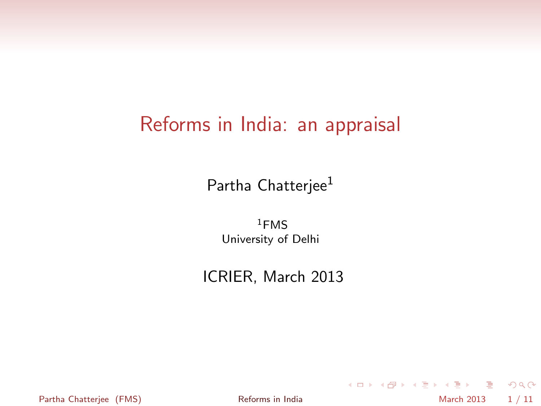#### Reforms in India: an appraisal

Partha Chatterjee<sup>1</sup>

 $1$ FMS University of Delhi

ICRIER, March 2013

Partha Chatterjee (FMS) **[Reforms in India](#page-10-0)** March 2013 1/11

<span id="page-0-0"></span>K ロ ▶ K 個 ▶ K ミ ▶ K ミ ▶ │ 큰 │ K 9 Q Q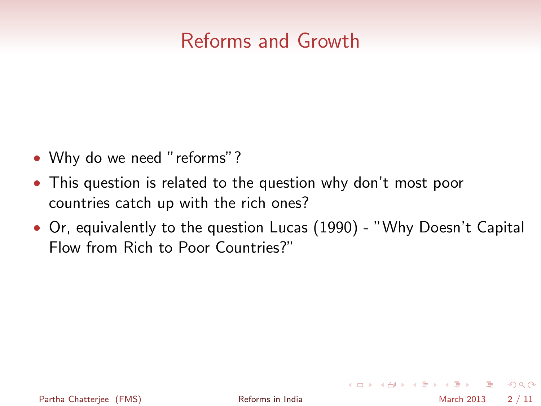#### Reforms and Growth

- Why do we need "reforms"?
- This question is related to the question why don't most poor countries catch up with the rich ones?
- Or, equivalently to the question Lucas (1990) "Why Doesn't Capital Flow from Rich to Poor Countries?"

**KOD KARD KED KED BLOGG**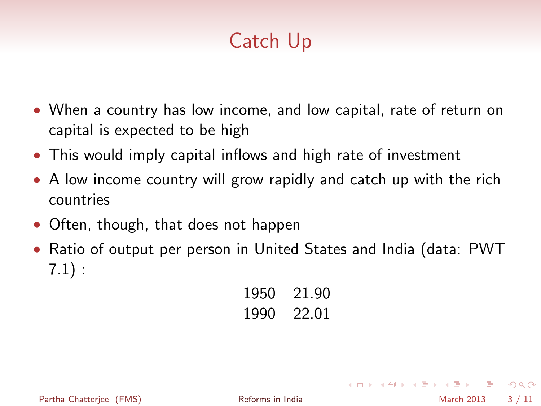# Catch Up

- When a country has low income, and low capital, rate of return on capital is expected to be high
- This would imply capital inflows and high rate of investment
- A low income country will grow rapidly and catch up with the rich countries
- Often, though, that does not happen
- Ratio of output per person in United States and India (data: PWT 7.1) :

1950 21.90 1990 22.01

Partha Chatteriee (FMS) **[Reforms in India](#page-0-0)** March 2013 3/11

 $\equiv$   $\cap$   $\alpha$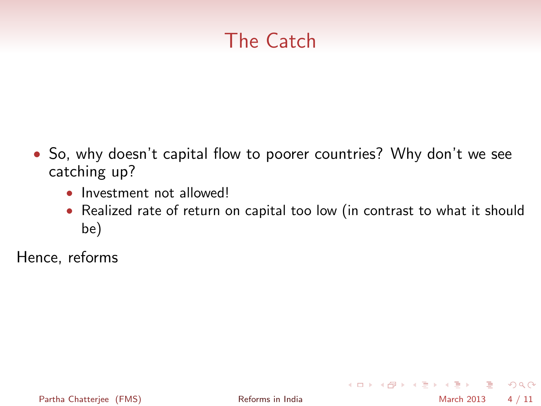## The Catch

- So, why doesn't capital flow to poorer countries? Why don't we see catching up?
	- Investment not allowed!
	- Realized rate of return on capital too low (in contrast to what it should be)

Hence, reforms

**KOD KARD KED KED BLOGG**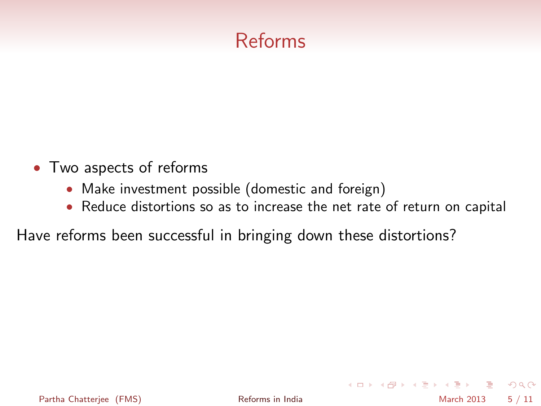## Reforms

- Two aspects of reforms
	- Make investment possible (domestic and foreign)
	- Reduce distortions so as to increase the net rate of return on capital

Have reforms been successful in bringing down these distortions?

Partha Chatterjee (FMS) **[Reforms in India](#page-0-0)** March 2013 5/11

**KOD KARD KED KED BLOGG**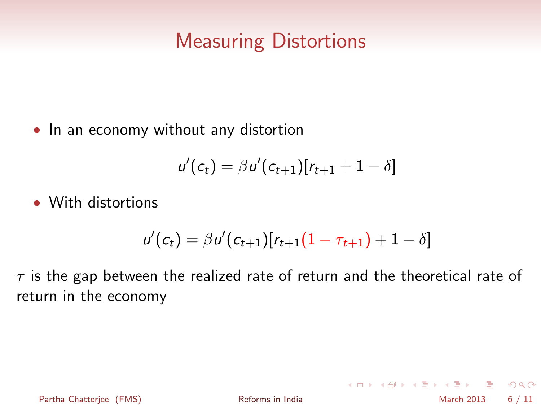#### Measuring Distortions

• In an economy without any distortion

$$
u'(c_t) = \beta u'(c_{t+1}) [r_{t+1} + 1 - \delta]
$$

• With distortions

$$
u'(c_t) = \beta u'(c_{t+1}) [r_{t+1}(1 - \tau_{t+1}) + 1 - \delta]
$$

 $\tau$  is the gap between the realized rate of return and the theoretical rate of return in the economy

- 9 Partha Chatterjee (FMS) **[Reforms in India](#page-0-0)** March 2013 6 / 11

 $\Omega$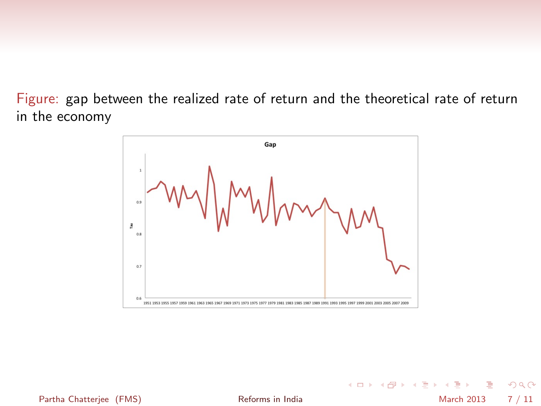Figure: gap between the realized rate of return and the theoretical rate of return in the economy



- 19 Partha Chatterjee (FMS) **[Reforms in India](#page-0-0)** March 2013 7 / 11

 $\Omega$ 

メロト メ都 トメ ヨ トメ ヨト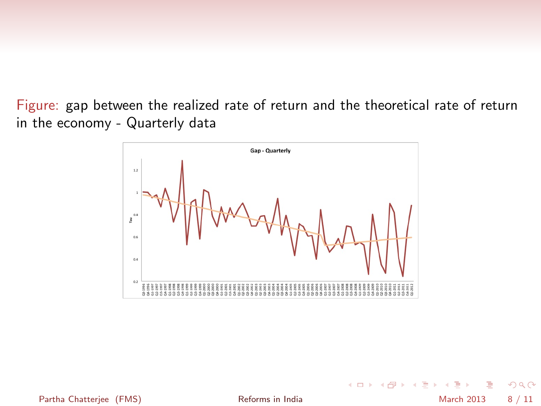Figure: gap between the realized rate of return and the theoretical rate of return in the economy - Quarterly data



Partha Chatterjee (FMS) **[Reforms in India](#page-0-0)** March 2013 8 / 11

**K ロ ト K 何 ト K ヨ ト K**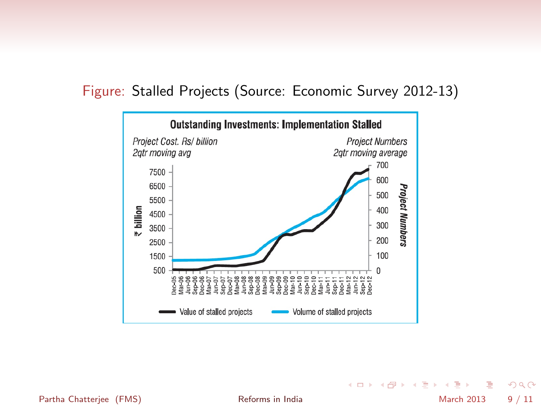

#### Figure: Stalled Projects (Source: Economic Survey 2012-13)

Partha Chatterjee (FMS) **[Reforms in India](#page-0-0)** March 2013 9/11

イロト イ押 トイヨト イヨ

 $299$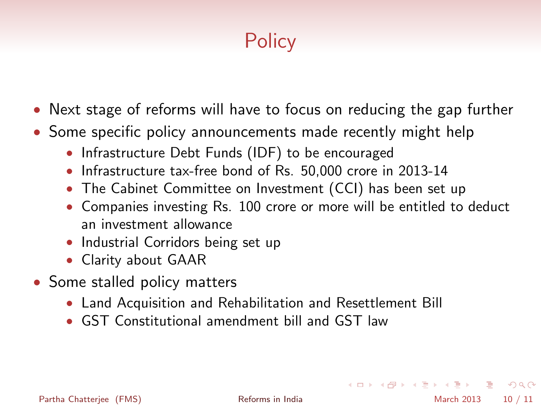# **Policy**

- Next stage of reforms will have to focus on reducing the gap further
- Some specific policy announcements made recently might help
	- Infrastructure Debt Funds (IDF) to be encouraged
	- Infrastructure tax-free bond of Rs. 50,000 crore in 2013-14
	- The Cabinet Committee on Investment (CCI) has been set up
	- Companies investing Rs. 100 crore or more will be entitled to deduct an investment allowance
	- Industrial Corridors being set up
	- Clarity about GAAR
- Some stalled policy matters
	- Land Acquisition and Rehabilitation and Resettlement Bill
	- GST Constitutional amendment bill and GST law

**KOD KARD KED KED E VOOR**